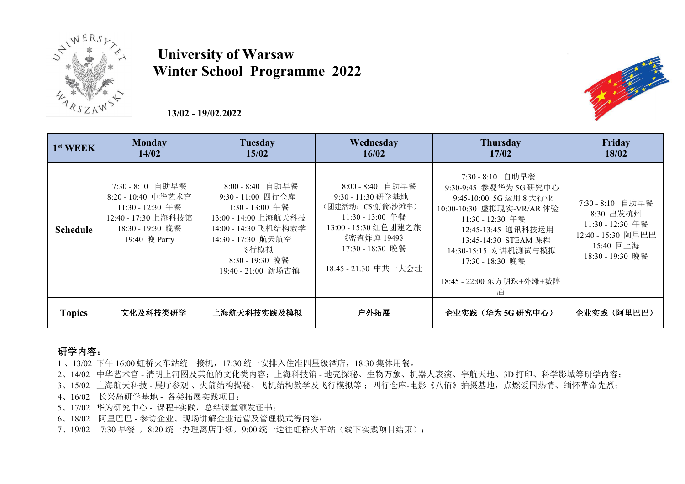

## **University of Warsaw Winter School Programme 2022**

**13/02 - 19/02.2022**



#### 研学内容:

- 1 、13/02 下午 16:00 虹桥火车站统一接机,17:30 统一安排入住准四星级酒店,18:30 集体用餐。
- 2、14/02 中华艺术宫 清明上河图及其他的文化类内容;上海科技馆 地壳探秘、生物万象、机器人表演、宇航天地、3D 打印、科学影城等研学内容;
- 3、15/02 上海航天科技 展厅参观 、火箭结构揭秘、飞机结构教学及飞行模拟等;四行仓库-电影《八佰》拍摄基地,点燃爱国热情、缅怀革命先烈;
- 4、16/02 长兴岛研学基地 各类拓展实践项目;
- 5、17/02 华为研究中心 课程+实践,总结课堂颁发证书;
- 6、18/02 阿里巴巴 参访企业、现场讲解企业运营及管理模式等内容;
- 7、19/02 7:30 早餐 ,8:20 统一办理离店手续,9:00 统一送往虹桥火车站(线下实践项目结束);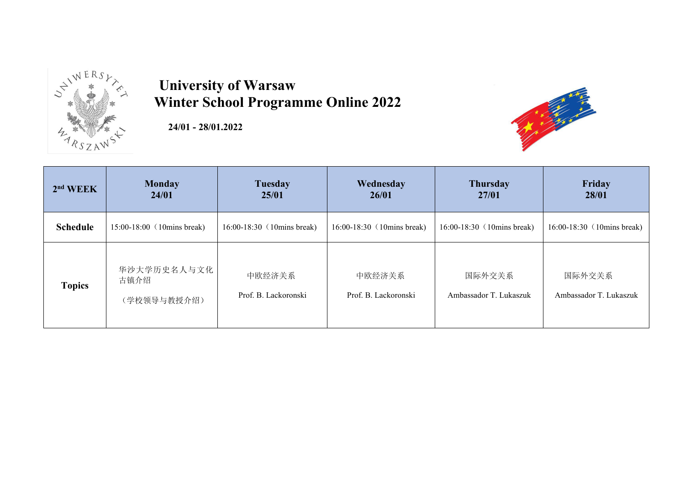

## **University of Warsaw**

**24/01 - 28/01.2022**



| $2nd W E K$     | <b>Monday</b><br>24/01               | <b>Tuesday</b><br>25/01        | Wednesday<br>26/01             | <b>Thursday</b><br>27/01         | Friday<br>28/01                  |
|-----------------|--------------------------------------|--------------------------------|--------------------------------|----------------------------------|----------------------------------|
| <b>Schedule</b> | $15:00-18:00$ (10mins break)         | $16:00-18:30$ (10mins break)   | 16:00-18:30 (10mins break)     | 16:00-18:30 (10mins break)       | 16:00-18:30 (10mins break)       |
| <b>Topics</b>   | 华沙大学历史名人与文化  <br>古镇介绍<br>(学校领导与教授介绍) | 中欧经济关系<br>Prof. B. Lackoronski | 中欧经济关系<br>Prof. B. Lackoronski | 国际外交关系<br>Ambassador T. Lukaszuk | 国际外交关系<br>Ambassador T. Lukaszuk |